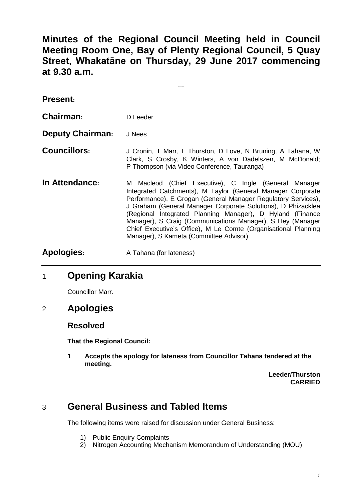**Minutes of the Regional Council Meeting held in Council Meeting Room One, Bay of Plenty Regional Council, 5 Quay Street, Whakatāne on Thursday, 29 June 2017 commencing at 9.30 a.m.**

| <b>Present:</b>         |                                                                                                                                                                                                                                                                                                                                                                                                                                                                                              |
|-------------------------|----------------------------------------------------------------------------------------------------------------------------------------------------------------------------------------------------------------------------------------------------------------------------------------------------------------------------------------------------------------------------------------------------------------------------------------------------------------------------------------------|
| Chairman:               | D Leeder                                                                                                                                                                                                                                                                                                                                                                                                                                                                                     |
| <b>Deputy Chairman:</b> | J Nees                                                                                                                                                                                                                                                                                                                                                                                                                                                                                       |
| <b>Councillors:</b>     | J Cronin, T Marr, L Thurston, D Love, N Bruning, A Tahana, W<br>Clark, S Crosby, K Winters, A von Dadelszen, M McDonald;<br>P Thompson (via Video Conference, Tauranga)                                                                                                                                                                                                                                                                                                                      |
| In Attendance:          | M Macleod (Chief Executive), C Ingle (General Manager<br>Integrated Catchments), M Taylor (General Manager Corporate<br>Performance), E Grogan (General Manager Regulatory Services),<br>J Graham (General Manager Corporate Solutions), D Phizacklea<br>(Regional Integrated Planning Manager), D Hyland (Finance<br>Manager), S Craig (Communications Manager), S Hey (Manager<br>Chief Executive's Office), M Le Comte (Organisational Planning<br>Manager), S Kameta (Committee Advisor) |
| <b>Apologies:</b>       | A Tahana (for lateness)                                                                                                                                                                                                                                                                                                                                                                                                                                                                      |

# 1 **Opening Karakia**

Councillor Marr.

2 **Apologies**

### **Resolved**

**That the Regional Council:**

**1 Accepts the apology for lateness from Councillor Tahana tendered at the meeting.**

> **Leeder/Thurston CARRIED**

# 3 **General Business and Tabled Items**

The following items were raised for discussion under General Business:

- 1) Public Enquiry Complaints
- 2) Nitrogen Accounting Mechanism Memorandum of Understanding (MOU)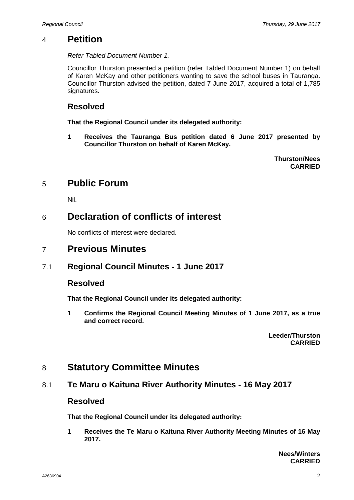## 4 **Petition**

*Refer Tabled Document Number 1.*

Councillor Thurston presented a petition (refer Tabled Document Number 1) on behalf of Karen McKay and other petitioners wanting to save the school buses in Tauranga. Councillor Thurston advised the petition, dated 7 June 2017, acquired a total of 1,785 signatures.

## **Resolved**

**That the Regional Council under its delegated authority:**

**1 Receives the Tauranga Bus petition dated 6 June 2017 presented by Councillor Thurston on behalf of Karen McKay.**

> **Thurston/Nees CARRIED**

# 5 **Public Forum**

Nil.

# 6 **Declaration of conflicts of interest**

No conflicts of interest were declared.

# 7 **Previous Minutes**

## 7.1 **Regional Council Minutes - 1 June 2017**

## **Resolved**

**That the Regional Council under its delegated authority:**

**1 Confirms the Regional Council Meeting Minutes of 1 June 2017, as a true and correct record.**

> **Leeder/Thurston CARRIED**

# 8 **Statutory Committee Minutes**

## 8.1 **Te Maru o Kaituna River Authority Minutes - 16 May 2017**

### **Resolved**

**That the Regional Council under its delegated authority:**

**1 Receives the Te Maru o Kaituna River Authority Meeting Minutes of 16 May 2017.**

> **Nees/Winters CARRIED**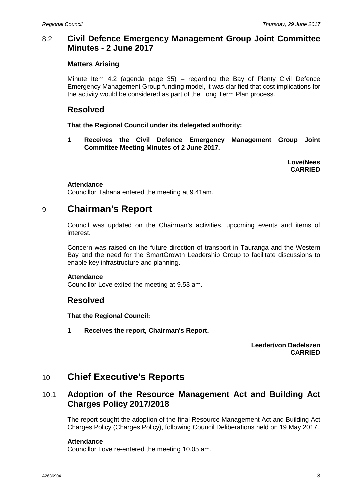### 8.2 **Civil Defence Emergency Management Group Joint Committee Minutes - 2 June 2017**

### **Matters Arising**

Minute Item 4.2 (agenda page 35) – regarding the Bay of Plenty Civil Defence Emergency Management Group funding model, it was clarified that cost implications for the activity would be considered as part of the Long Term Plan process.

## **Resolved**

**That the Regional Council under its delegated authority:**

**1 Receives the Civil Defence Emergency Management Group Joint Committee Meeting Minutes of 2 June 2017.**

> **Love/Nees CARRIED**

### **Attendance**

Councillor Tahana entered the meeting at 9.41am.

## 9 **Chairman's Report**

Council was updated on the Chairman's activities, upcoming events and items of interest.

Concern was raised on the future direction of transport in Tauranga and the Western Bay and the need for the SmartGrowth Leadership Group to facilitate discussions to enable key infrastructure and planning.

### **Attendance**

Councillor Love exited the meeting at 9.53 am.

## **Resolved**

**That the Regional Council:**

**1 Receives the report, Chairman's Report.**

**Leeder/von Dadelszen CARRIED**

## 10 **Chief Executive's Reports**

## 10.1 **Adoption of the Resource Management Act and Building Act Charges Policy 2017/2018**

The report sought the adoption of the final Resource Management Act and Building Act Charges Policy (Charges Policy), following Council Deliberations held on 19 May 2017.

### **Attendance**

Councillor Love re-entered the meeting 10.05 am.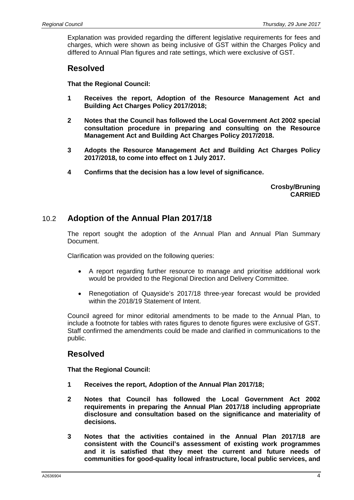Explanation was provided regarding the different legislative requirements for fees and charges, which were shown as being inclusive of GST within the Charges Policy and differed to Annual Plan figures and rate settings, which were exclusive of GST.

### **Resolved**

**That the Regional Council:**

- **1 Receives the report, Adoption of the Resource Management Act and Building Act Charges Policy 2017/2018;**
- **2 Notes that the Council has followed the Local Government Act 2002 special consultation procedure in preparing and consulting on the Resource Management Act and Building Act Charges Policy 2017/2018.**
- **3 Adopts the Resource Management Act and Building Act Charges Policy 2017/2018, to come into effect on 1 July 2017.**
- **4 Confirms that the decision has a low level of significance.**

**Crosby/Bruning CARRIED**

### 10.2 **Adoption of the Annual Plan 2017/18**

The report sought the adoption of the Annual Plan and Annual Plan Summary Document.

Clarification was provided on the following queries:

- A report regarding further resource to manage and prioritise additional work would be provided to the Regional Direction and Delivery Committee.
- Renegotiation of Quayside's 2017/18 three-year forecast would be provided within the 2018/19 Statement of Intent.

Council agreed for minor editorial amendments to be made to the Annual Plan, to include a footnote for tables with rates figures to denote figures were exclusive of GST. Staff confirmed the amendments could be made and clarified in communications to the public.

## **Resolved**

**That the Regional Council:**

- **1 Receives the report, Adoption of the Annual Plan 2017/18;**
- **2 Notes that Council has followed the Local Government Act 2002 requirements in preparing the Annual Plan 2017/18 including appropriate disclosure and consultation based on the significance and materiality of decisions.**
- **3 Notes that the activities contained in the Annual Plan 2017/18 are consistent with the Council's assessment of existing work programmes and it is satisfied that they meet the current and future needs of communities for good-quality local infrastructure, local public services, and**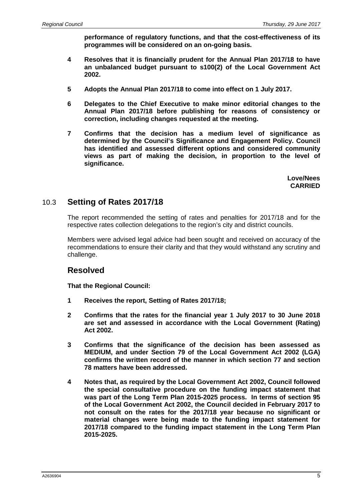**performance of regulatory functions, and that the cost-effectiveness of its programmes will be considered on an on-going basis.**

- **4 Resolves that it is financially prudent for the Annual Plan 2017/18 to have an unbalanced budget pursuant to s100(2) of the Local Government Act 2002.**
- **5 Adopts the Annual Plan 2017/18 to come into effect on 1 July 2017.**
- **6 Delegates to the Chief Executive to make minor editorial changes to the Annual Plan 2017/18 before publishing for reasons of consistency or correction, including changes requested at the meeting.**
- **7 Confirms that the decision has a medium level of significance as determined by the Council's Significance and Engagement Policy. Council has identified and assessed different options and considered community views as part of making the decision, in proportion to the level of significance.**

**Love/Nees CARRIED**

## 10.3 **Setting of Rates 2017/18**

The report recommended the setting of rates and penalties for 2017/18 and for the respective rates collection delegations to the region's city and district councils.

Members were advised legal advice had been sought and received on accuracy of the recommendations to ensure their clarity and that they would withstand any scrutiny and challenge.

## **Resolved**

**That the Regional Council:**

- **1 Receives the report, Setting of Rates 2017/18;**
- **2 Confirms that the rates for the financial year 1 July 2017 to 30 June 2018 are set and assessed in accordance with the Local Government (Rating) Act 2002.**
- **3 Confirms that the significance of the decision has been assessed as MEDIUM, and under Section 79 of the Local Government Act 2002 (LGA) confirms the written record of the manner in which section 77 and section 78 matters have been addressed.**
- **4 Notes that, as required by the Local Government Act 2002, Council followed the special consultative procedure on the funding impact statement that was part of the Long Term Plan 2015-2025 process. In terms of section 95 of the Local Government Act 2002, the Council decided in February 2017 to not consult on the rates for the 2017/18 year because no significant or material changes were being made to the funding impact statement for 2017/18 compared to the funding impact statement in the Long Term Plan 2015-2025.**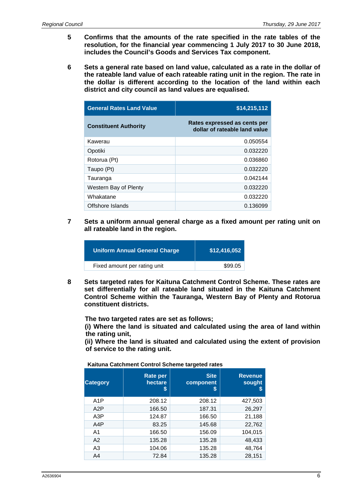- **5 Confirms that the amounts of the rate specified in the rate tables of the resolution, for the financial year commencing 1 July 2017 to 30 June 2018, includes the Council's Goods and Services Tax component.**
- **6 Sets a general rate based on land value, calculated as a rate in the dollar of the rateable land value of each rateable rating unit in the region. The rate in the dollar is different according to the location of the land within each district and city council as land values are equalised.**

| <b>General Rates Land Value</b> | \$14,215,112                                                  |  |
|---------------------------------|---------------------------------------------------------------|--|
| <b>Constituent Authority</b>    | Rates expressed as cents per<br>dollar of rateable land value |  |
| Kawerau                         | 0.050554                                                      |  |
| Opotiki                         | 0.032220                                                      |  |
| Rotorua (Pt)                    | 0.036860                                                      |  |
| Taupo (Pt)                      | 0.032220                                                      |  |
| Tauranga                        | 0.042144                                                      |  |
| Western Bay of Plenty           | 0.032220                                                      |  |
| Whakatane                       | 0.032220                                                      |  |
| Offshore Islands                | 0.136099                                                      |  |

**7 Sets a uniform annual general charge as a fixed amount per rating unit on all rateable land in the region.**

| <b>Uniform Annual General Charge</b> | \$12,416,052 |
|--------------------------------------|--------------|
| Fixed amount per rating unit         | \$99.05      |
|                                      |              |

**8 Sets targeted rates for Kaituna Catchment Control Scheme. These rates are set differentially for all rateable land situated in the Kaituna Catchment Control Scheme within the Tauranga, Western Bay of Plenty and Rotorua constituent districts.** 

**The two targeted rates are set as follows;**

**(i) Where the land is situated and calculated using the area of land within the rating unit,**

**(ii) Where the land is situated and calculated using the extent of provision of service to the rating unit.** 

|                  | $\cdot$ $\cdot$                 |                                |                               |  |
|------------------|---------------------------------|--------------------------------|-------------------------------|--|
| <b>Category</b>  | <b>Rate per</b><br>hectare<br>S | <b>Site</b><br>component<br>\$ | <b>Revenue</b><br>sought<br>S |  |
| A <sub>1</sub> P | 208.12                          | 208.12                         | 427,503                       |  |
| A2P              | 166.50                          | 187.31                         | 26,297                        |  |
| A3P              | 124.87                          | 166.50                         | 21,188                        |  |
| A4P              | 83.25                           | 145.68                         | 22,762                        |  |
| A <sub>1</sub>   | 166.50                          | 156.09                         | 104,015                       |  |
| A2               | 135.28                          | 135.28                         | 48,433                        |  |
| A <sub>3</sub>   | 104.06                          | 135.28                         | 48,764                        |  |
| A <sub>4</sub>   | 72.84                           | 135.28                         | 28,151                        |  |

**Kaituna Catchment Control Scheme targeted rates**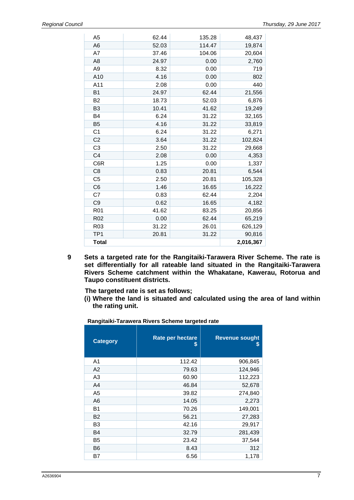| Total           |       |        | 2,016,367 |
|-----------------|-------|--------|-----------|
| TP <sub>1</sub> | 20.81 | 31.22  | 90,816    |
| R <sub>03</sub> | 31.22 | 26.01  | 626,129   |
| R <sub>02</sub> | 0.00  | 62.44  | 65,219    |
| R <sub>01</sub> | 41.62 | 83.25  | 20,856    |
| C <sub>9</sub>  | 0.62  | 16.65  | 4,182     |
| C7              | 0.83  | 62.44  | 2,204     |
| C <sub>6</sub>  | 1.46  | 16.65  | 16,222    |
| C <sub>5</sub>  | 2.50  | 20.81  | 105,328   |
| C <sub>8</sub>  | 0.83  | 20.81  | 6,544     |
| C6R             | 1.25  | 0.00   | 1,337     |
| C <sub>4</sub>  | 2.08  | 0.00   | 4,353     |
| C <sub>3</sub>  | 2.50  | 31.22  | 29,668    |
| C <sub>2</sub>  | 3.64  | 31.22  | 102,824   |
| C <sub>1</sub>  | 6.24  | 31.22  | 6,271     |
| B <sub>5</sub>  | 4.16  | 31.22  | 33,819    |
| B4              | 6.24  | 31.22  | 32,165    |
| B <sub>3</sub>  | 10.41 | 41.62  | 19,249    |
| <b>B2</b>       | 18.73 | 52.03  | 6,876     |
| <b>B1</b>       | 24.97 | 62.44  | 21,556    |
| A11             | 2.08  | 0.00   | 440       |
| A10             | 4.16  | 0.00   | 802       |
| A <sub>9</sub>  | 8.32  | 0.00   | 719       |
| A <sub>8</sub>  | 24.97 | 0.00   | 2,760     |
| A7              | 37.46 | 104.06 | 20,604    |
| A <sub>6</sub>  | 52.03 | 114.47 | 19,874    |
| A <sub>5</sub>  | 62.44 | 135.28 | 48,437    |

**9 Sets a targeted rate for the Rangitaiki-Tarawera River Scheme. The rate is set differentially for all rateable land situated in the Rangitaiki-Tarawera Rivers Scheme catchment within the Whakatane, Kawerau, Rotorua and Taupo constituent districts.** 

**The targeted rate is set as follows;**

**(i) Where the land is situated and calculated using the area of land within the rating unit.** 

**Rangitaiki-Tarawera Rivers Scheme targeted rate**

| <b>Category</b> | Rate per hectare<br>S | <b>Revenue sought</b><br>S |
|-----------------|-----------------------|----------------------------|
| A <sub>1</sub>  | 112.42                | 906,845                    |
| A2              | 79.63                 | 124,946                    |
| A <sub>3</sub>  | 60.90                 | 112,223                    |
| A <sub>4</sub>  | 46.84                 | 52,678                     |
| A <sub>5</sub>  | 39.82                 | 274,840                    |
| A <sub>6</sub>  | 14.05                 | 2,273                      |
| <b>B1</b>       | 70.26                 | 149,001                    |
| <b>B2</b>       | 56.21                 | 27,283                     |
| B3              | 42.16                 | 29,917                     |
| B4              | 32.79                 | 281,439                    |
| B5              | 23.42                 | 37,544                     |
| B6              | 8.43                  | 312                        |
| Β7              | 6.56                  | 1,178                      |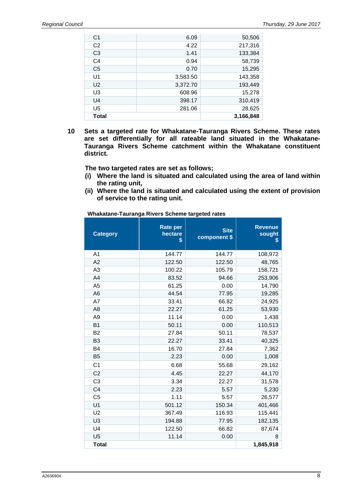| C <sub>1</sub> | 6.09     | 50,506    |
|----------------|----------|-----------|
| C <sub>2</sub> | 4.22     | 217,316   |
| C <sub>3</sub> | 1.41     | 133,384   |
| C <sub>4</sub> | 0.94     | 58,739    |
| C <sub>5</sub> | 0.70     | 15,295    |
| U <sub>1</sub> | 3,583.50 | 143,358   |
| U <sub>2</sub> | 3,372.70 | 193,449   |
| U <sub>3</sub> | 608.96   | 15,278    |
| U4             | 398.17   | 310,419   |
| U <sub>5</sub> | 281.06   | 28,625    |
| Total          |          | 3,166,848 |

**10 Sets a targeted rate for Whakatane-Tauranga Rivers Scheme. These rates are set differentially for all rateable land situated in the Whakatane-Tauranga Rivers Scheme catchment within the Whakatane constituent district.** 

**The two targeted rates are set as follows;**

- **(i) Where the land is situated and calculated using the area of land within the rating unit,**
- **(ii) Where the land is situated and calculated using the extent of provision of service to the rating unit.**

**Whakatane-Tauranga Rivers Scheme targeted rates**

| <b>Category</b> | <b>Rate per</b><br>hectare<br>\$ | <b>Site</b><br>component \$ | <b>Revenue</b><br>sought<br>\$ |
|-----------------|----------------------------------|-----------------------------|--------------------------------|
| A <sub>1</sub>  | 144.77                           | 144.77                      | 108,972                        |
| A <sub>2</sub>  | 122.50                           | 122.50                      | 48,765                         |
| A <sub>3</sub>  | 100.22                           | 105.79                      | 158,721                        |
| A4              | 83.52                            | 94.66                       | 253,906                        |
| A <sub>5</sub>  | 61.25                            | 0.00                        | 14,790                         |
| A <sub>6</sub>  | 44.54                            | 77.95                       | 19,285                         |
| A7              | 33.41                            | 66.82                       | 24,925                         |
| A <sub>8</sub>  | 22.27                            | 61.25                       | 53,930                         |
| A <sub>9</sub>  | 11.14                            | 0.00                        | 1,438                          |
| <b>B1</b>       | 50.11                            | 0.00                        | 110,513                        |
| B <sub>2</sub>  | 27.84                            | 50.11                       | 78,537                         |
| B <sub>3</sub>  | 22.27                            | 33.41                       | 40,325                         |
| B <sub>4</sub>  | 16.70                            | 27.84                       | 7,362                          |
| B <sub>5</sub>  | 2.23                             | 0.00                        | 1,008                          |
| C <sub>1</sub>  | 6.68                             | 55.68                       | 29,162                         |
| C <sub>2</sub>  | 4.45                             | 22.27                       | 44,170                         |
| C <sub>3</sub>  | 3.34                             | 22.27                       | 31,578                         |
| C <sub>4</sub>  | 2.23                             | 5.57                        | 5,230                          |
| C <sub>5</sub>  | 1.11                             | 5.57                        | 26,577                         |
| U <sub>1</sub>  | 501.12                           | 150.34                      | 401,466                        |
| U <sub>2</sub>  | 367.49                           | 116.93                      | 115,441                        |
| U <sub>3</sub>  | 194.88                           | 77.95                       | 182,135                        |
| U4              | 122.50                           | 66.82                       | 87,674                         |
| U <sub>5</sub>  | 11.14                            | 0.00                        | 8                              |
| <b>Total</b>    |                                  |                             | 1,845,918                      |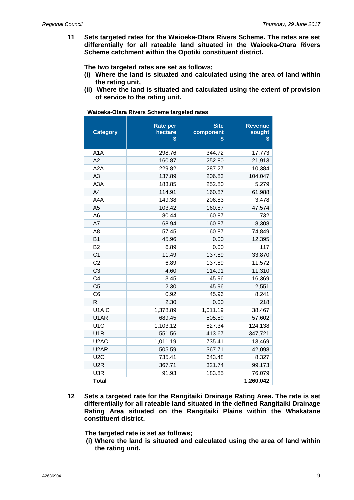**11 Sets targeted rates for the Waioeka-Otara Rivers Scheme. The rates are set differentially for all rateable land situated in the Waioeka-Otara Rivers Scheme catchment within the Opotiki constituent district.** 

**The two targeted rates are set as follows;**

- **(i) Where the land is situated and calculated using the area of land within the rating unit,**
- **(ii) Where the land is situated and calculated using the extent of provision of service to the rating unit.**

| <b>Category</b>               | <b>Rate per</b><br>hectare<br>\$ | <b>Site</b><br>component<br>\$ | <b>Revenue</b><br>sought<br>\$ |
|-------------------------------|----------------------------------|--------------------------------|--------------------------------|
| A <sub>1</sub> A              | 298.76                           | 344.72                         | 17,773                         |
| A2                            | 160.87                           | 252.80                         | 21,913                         |
| A <sub>2</sub> A              | 229.82                           | 287.27                         | 10,384                         |
| A <sub>3</sub>                | 137.89                           | 206.83                         | 104,047                        |
| A <sub>3</sub> A              | 183.85                           | 252.80                         | 5,279                          |
| A4                            | 114.91                           | 160.87                         | 61,988                         |
| A4A                           | 149.38                           | 206.83                         | 3,478                          |
| A <sub>5</sub>                | 103.42                           | 160.87                         | 47,574                         |
| A6                            | 80.44                            | 160.87                         | 732                            |
| A7                            | 68.94                            | 160.87                         | 8,308                          |
| A8                            | 57.45                            | 160.87                         | 74,849                         |
| <b>B1</b>                     | 45.96                            | 0.00                           | 12,395                         |
| B <sub>2</sub>                | 6.89                             | 0.00                           | 117                            |
| C <sub>1</sub>                | 11.49                            | 137.89                         | 33,870                         |
| C <sub>2</sub>                | 6.89                             | 137.89                         | 11,572                         |
| C <sub>3</sub>                | 4.60                             | 114.91                         | 11,310                         |
| C <sub>4</sub>                | 3.45                             | 45.96                          | 16,369                         |
| C <sub>5</sub>                | 2.30                             | 45.96                          | 2,551                          |
| C <sub>6</sub>                | 0.92                             | 45.96                          | 8,241                          |
| R                             | 2.30                             | 0.00                           | 218                            |
| U <sub>1</sub> A <sub>C</sub> | 1,378.89                         | 1,011.19                       | 38,467                         |
| U1AR                          | 689.45                           | 505.59                         | 57,602                         |
| U <sub>1</sub> C              | 1,103.12                         | 827.34                         | 124,138                        |
| U <sub>1</sub> R              | 551.56                           | 413.67                         | 347,721                        |
| U <sub>2</sub> AC             | 1,011.19                         | 735.41                         | 13,469                         |
| U <sub>2</sub> AR             | 505.59                           | 367.71                         | 42,098                         |
| U <sub>2</sub> C              | 735.41                           | 643.48                         | 8,327                          |
| U <sub>2</sub> R              | 367.71                           | 321.74                         | 99,173                         |
| U3R                           | 91.93                            | 183.85                         | 76,079                         |
| <b>Total</b>                  |                                  |                                | 1,260,042                      |

**Waioeka-Otara Rivers Scheme targeted rates**

**12 Sets a targeted rate for the Rangitaiki Drainage Rating Area. The rate is set differentially for all rateable land situated in the defined Rangitaiki Drainage Rating Area situated on the Rangitaiki Plains within the Whakatane constituent district.** 

**The targeted rate is set as follows;**

**(i) Where the land is situated and calculated using the area of land within the rating unit.**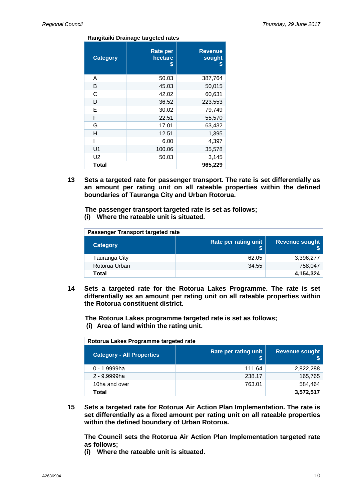#### **Rangitaiki Drainage targeted rates**

| <b>Category</b> | <b>Rate per</b><br>hectare<br>\$ | <b>Revenue</b><br>sought<br>S |
|-----------------|----------------------------------|-------------------------------|
| A               | 50.03                            | 387,764                       |
| B               | 45.03                            | 50,015                        |
| С               | 42.02                            | 60,631                        |
| D               | 36.52                            | 223,553                       |
| Е               | 30.02                            | 79,749                        |
| F               | 22.51                            | 55,570                        |
| G               | 17.01                            | 63,432                        |
| н               | 12.51                            | 1,395                         |
|                 | 6.00                             | 4,397                         |
| U1              | 100.06                           | 35,578                        |
| U <sub>2</sub>  | 50.03                            | 3,145                         |
| Total           |                                  | 965,229                       |

**13 Sets a targeted rate for passenger transport. The rate is set differentially as an amount per rating unit on all rateable properties within the defined boundaries of Tauranga City and Urban Rotorua.** 

**The passenger transport targeted rate is set as follows; (i) Where the rateable unit is situated.**

| Passenger Transport targeted rate |                      |                       |  |
|-----------------------------------|----------------------|-----------------------|--|
| Category                          | Rate per rating unit | <b>Revenue sought</b> |  |
| Tauranga City                     | 62.05                | 3,396,277             |  |
| Rotorua Urban                     | 34.55                | 758,047               |  |
| Total                             |                      | 4,154,324             |  |

**14 Sets a targeted rate for the Rotorua Lakes Programme. The rate is set differentially as an amount per rating unit on all rateable properties within the Rotorua constituent district.** 

**The Rotorua Lakes programme targeted rate is set as follows; (i) Area of land within the rating unit.**

**Rotorua Lakes Programme targeted rate**

| <b>Category - All Properties</b> | Rate per rating unit | <b>Revenue sought</b> |  |
|----------------------------------|----------------------|-----------------------|--|
| 0 - 1.9999ha                     | 111.64               | 2,822,288             |  |
| 2 - 9.9999ha                     | 238.17               | 165,765               |  |
| 10ha and over                    | 763.01               | 584,464               |  |
| Total                            |                      | 3,572,517             |  |

**15 Sets a targeted rate for Rotorua Air Action Plan Implementation. The rate is set differentially as a fixed amount per rating unit on all rateable properties within the defined boundary of Urban Rotorua.** 

**The Council sets the Rotorua Air Action Plan Implementation targeted rate as follows;**

**(i) Where the rateable unit is situated.**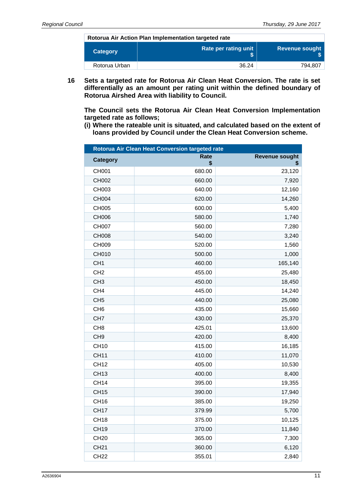**Rotorua Air Action Plan Implementation targeted rate**

| Category      | Rate per rating unit | Revenue sought |
|---------------|----------------------|----------------|
| Rotorua Urban | 36.24                | 794.807        |

**16 Sets a targeted rate for Rotorua Air Clean Heat Conversion. The rate is set differentially as an amount per rating unit within the defined boundary of Rotorua Airshed Area with liability to Council.** 

**The Council sets the Rotorua Air Clean Heat Conversion Implementation targeted rate as follows;**

**(i) Where the rateable unit is situated, and calculated based on the extent of loans provided by Council under the Clean Heat Conversion scheme.**

| Rotorua Air Clean Heat Conversion targeted rate |              |                       |
|-------------------------------------------------|--------------|-----------------------|
| <b>Category</b>                                 | Rate         | <b>Revenue sought</b> |
| <b>CH001</b>                                    | \$<br>680.00 | \$<br>23,120          |
| CH002                                           | 660.00       | 7,920                 |
| CH003                                           | 640.00       | 12,160                |
| <b>CH004</b>                                    | 620.00       | 14,260                |
| <b>CH005</b>                                    | 600.00       | 5,400                 |
| CH006                                           | 580.00       | 1,740                 |
| <b>CH007</b>                                    | 560.00       | 7,280                 |
| <b>CH008</b>                                    | 540.00       | 3,240                 |
| CH009                                           | 520.00       | 1,560                 |
| CH010                                           | 500.00       | 1,000                 |
| CH <sub>1</sub>                                 | 460.00       | 165,140               |
| CH <sub>2</sub>                                 | 455.00       | 25,480                |
| CH <sub>3</sub>                                 | 450.00       | 18,450                |
| CH <sub>4</sub>                                 | 445.00       | 14,240                |
| CH <sub>5</sub>                                 | 440.00       | 25,080                |
| CH <sub>6</sub>                                 | 435.00       | 15,660                |
| CH <sub>7</sub>                                 | 430.00       | 25,370                |
| CH <sub>8</sub>                                 | 425.01       | 13,600                |
| CH <sub>9</sub>                                 | 420.00       | 8,400                 |
| <b>CH10</b>                                     | 415.00       | 16,185                |
| <b>CH11</b>                                     | 410.00       | 11,070                |
| <b>CH12</b>                                     | 405.00       | 10,530                |
| <b>CH13</b>                                     | 400.00       | 8,400                 |
| <b>CH14</b>                                     | 395.00       | 19,355                |
| <b>CH15</b>                                     | 390.00       | 17,940                |
| <b>CH16</b>                                     | 385.00       | 19,250                |
| <b>CH17</b>                                     | 379.99       | 5,700                 |
| CH <sub>18</sub>                                | 375.00       | 10,125                |
| <b>CH19</b>                                     | 370.00       | 11,840                |
| <b>CH20</b>                                     | 365.00       | 7,300                 |
| <b>CH21</b>                                     | 360.00       | 6,120                 |
| <b>CH22</b>                                     | 355.01       | 2,840                 |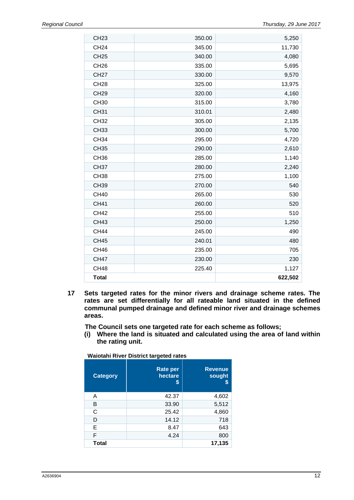| <b>CH23</b>  | 350.00 | 5,250   |
|--------------|--------|---------|
| <b>CH24</b>  | 345.00 | 11,730  |
| <b>CH25</b>  | 340.00 | 4,080   |
| <b>CH26</b>  | 335.00 | 5,695   |
| <b>CH27</b>  | 330.00 | 9,570   |
| <b>CH28</b>  | 325.00 | 13,975  |
| <b>CH29</b>  | 320.00 | 4,160   |
| <b>CH30</b>  | 315.00 | 3,780   |
| <b>CH31</b>  | 310.01 | 2,480   |
| <b>CH32</b>  | 305.00 | 2,135   |
| <b>CH33</b>  | 300.00 | 5,700   |
| <b>CH34</b>  | 295.00 | 4,720   |
| <b>CH35</b>  | 290.00 | 2,610   |
| <b>CH36</b>  | 285.00 | 1,140   |
| <b>CH37</b>  | 280.00 | 2,240   |
| <b>CH38</b>  | 275.00 | 1,100   |
| <b>CH39</b>  | 270.00 | 540     |
| <b>CH40</b>  | 265.00 | 530     |
| <b>CH41</b>  | 260.00 | 520     |
| <b>CH42</b>  | 255.00 | 510     |
| <b>CH43</b>  | 250.00 | 1,250   |
| <b>CH44</b>  | 245.00 | 490     |
| <b>CH45</b>  | 240.01 | 480     |
| <b>CH46</b>  | 235.00 | 705     |
| <b>CH47</b>  | 230.00 | 230     |
| <b>CH48</b>  | 225.40 | 1,127   |
| <b>Total</b> |        | 622,502 |

**17 Sets targeted rates for the minor rivers and drainage scheme rates. The rates are set differentially for all rateable land situated in the defined communal pumped drainage and defined minor river and drainage schemes areas.** 

**The Council sets one targeted rate for each scheme as follows;**

**(i) Where the land is situated and calculated using the area of land within the rating unit.** 

| Waiotahi River District targeted rates |  |
|----------------------------------------|--|
|                                        |  |

| <b>Category</b> | <b>Rate per</b><br>hectare<br>S | <b>Revenue</b><br>sought |
|-----------------|---------------------------------|--------------------------|
| A               | 42.37                           | 4,602                    |
| B               | 33.90                           | 5,512                    |
| С               | 25.42                           | 4,860                    |
| D               | 14.12                           | 718                      |
| Е               | 8.47                            | 643                      |
| F               | 4.24                            | 800                      |
| <b>Total</b>    |                                 | 17,135                   |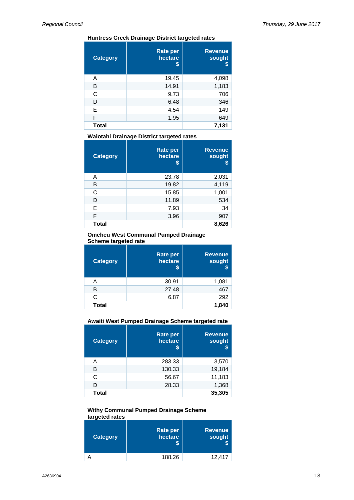#### **Huntress Creek Drainage District targeted rates**

| <b>Category</b> | <b>Rate per</b><br>hectare<br>S | <b>Revenue</b><br>sought<br>S |
|-----------------|---------------------------------|-------------------------------|
| A               | 19.45                           | 4,098                         |
| в               | 14.91                           | 1,183                         |
| C               | 9.73                            | 706                           |
| D               | 6.48                            | 346                           |
| Е               | 4.54                            | 149                           |
| F               | 1.95                            | 649                           |
| <b>Total</b>    |                                 | 7,131                         |

**Waiotahi Drainage District targeted rates**

| <b>Category</b> | <b>Rate per</b><br>hectare<br>S | <b>Revenue</b><br>sought<br>\$ |
|-----------------|---------------------------------|--------------------------------|
| Α               | 23.78                           | 2,031                          |
| B               | 19.82                           | 4,119                          |
| C               | 15.85                           | 1,001                          |
| D               | 11.89                           | 534                            |
| E               | 7.93                            | 34                             |
| F               | 3.96                            | 907                            |
| Total           |                                 | 8,626                          |

#### **Omeheu West Communal Pumped Drainage Scheme targeted rate**

| <b>Category</b> | <b>Rate per</b><br>hectare<br>S | <b>Revenue</b><br>sought<br>\$ |
|-----------------|---------------------------------|--------------------------------|
| А               | 30.91                           | 1,081                          |
| В               | 27.48                           | 467                            |
| C               | 6.87                            | 292                            |
| <b>Total</b>    |                                 | 1,840                          |

#### **Awaiti West Pumped Drainage Scheme targeted rate**

| <b>Category</b> | <b>Rate per</b><br>hectare<br>S | <b>Revenue</b><br>sought<br>\$ |
|-----------------|---------------------------------|--------------------------------|
| A               | 283.33                          | 3,570                          |
| B               | 130.33                          | 19,184                         |
| C               | 56.67                           | 11,183                         |
| n               | 28.33                           | 1,368                          |
| Total           |                                 | 35,305                         |

#### **Withy Communal Pumped Drainage Scheme targeted rates**

| <b>Category</b> | Rate per<br>hectare | <b>Revenue</b><br>sought |
|-----------------|---------------------|--------------------------|
|                 | 188.26              | 12,417                   |
|                 |                     |                          |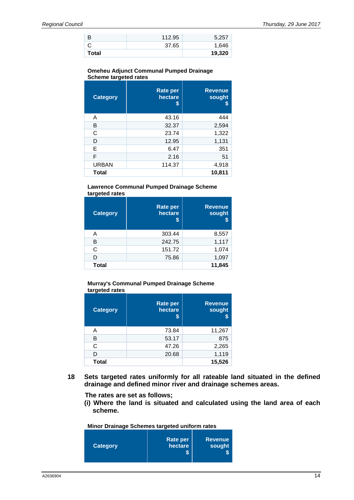| Total |        | 19,320 |
|-------|--------|--------|
|       | 37.65  | 1,646  |
| B     | 112.95 | 5,257  |

#### **Omeheu Adjunct Communal Pumped Drainage Scheme targeted rates**

| <b>Category</b> | <b>Rate per</b><br>hectare<br>S | <b>Revenue</b><br>sought<br>S |
|-----------------|---------------------------------|-------------------------------|
| A               | 43.16                           | 444                           |
| B               | 32.37                           | 2,594                         |
| C               | 23.74                           | 1,322                         |
| D               | 12.95                           | 1,131                         |
| Е               | 6.47                            | 351                           |
| F               | 2.16                            | 51                            |
| <b>URBAN</b>    | 114.37                          | 4,918                         |
| <b>Total</b>    |                                 | 10,811                        |

#### **Lawrence Communal Pumped Drainage Scheme targeted rates**

| <b>Category</b> | <b>Rate per</b><br>hectare<br>S | <b>Revenue</b><br>sought<br>S |
|-----------------|---------------------------------|-------------------------------|
| Α               | 303.44                          | 8,557                         |
| в               | 242.75                          | 1,117                         |
| C               | 151.72                          | 1,074                         |
| D               | 75.86                           | 1,097                         |
| <b>Total</b>    |                                 | 11,845                        |

#### **Murray's Communal Pumped Drainage Scheme targeted rates**

| <b>Category</b> | <b>Rate per</b><br>hectare<br>S | <b>Revenue</b><br>sought |
|-----------------|---------------------------------|--------------------------|
| А               | 73.84                           | 11,267                   |
| в               | 53.17                           | 875                      |
| C               | 47.26                           | 2,265                    |
| D               | 20.68                           | 1,119                    |
| <b>Total</b>    |                                 | 15,526                   |

**18 Sets targeted rates uniformly for all rateable land situated in the defined drainage and defined minor river and drainage schemes areas.** 

**The rates are set as follows;**

**(i) Where the land is situated and calculated using the land area of each scheme.** 

**Minor Drainage Schemes targeted uniform rates**

| <b>Category</b> | Rate per<br>hectare | <b>Revenue</b><br>sought |
|-----------------|---------------------|--------------------------|
|-----------------|---------------------|--------------------------|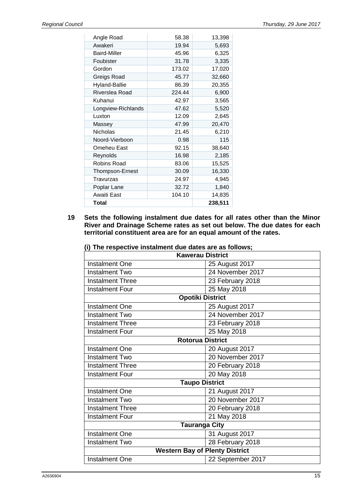| Angle Road             | 58.38  | 13,398  |
|------------------------|--------|---------|
| Awakeri                | 19.94  | 5,693   |
| <b>Baird-Miller</b>    | 45.96  | 6,325   |
| Foubister              | 31.78  | 3,335   |
| Gordon                 | 173.02 | 17,020  |
| Greigs Road            | 45.77  | 32,660  |
| Hyland-Ballie          | 86.39  | 20,355  |
| Riverslea Road         | 224.44 | 6,900   |
| Kuhanui                | 42.97  | 3,565   |
| Longview-Richlands     | 47.62  | 5,520   |
| Luxton                 | 12.09  | 2,645   |
| Massey                 | 47.99  | 20,470  |
| <b>Nicholas</b>        | 21.45  | 6,210   |
| Noord-Vierboon         | 0.98   | 115     |
| Omeheu East            | 92.15  | 38,640  |
| Reynolds               | 16.98  | 2,185   |
| Robins Road            | 83.06  | 15,525  |
| <b>Thompson-Ernest</b> | 30.09  | 16,330  |
| Travurzas              | 24.97  | 4,945   |
| Poplar Lane            | 32.72  | 1,840   |
| Awaiti East            | 104.10 | 14,835  |
| Total                  |        | 238,511 |

**19 Sets the following instalment due dates for all rates other than the Minor River and Drainage Scheme rates as set out below. The due dates for each territorial constituent area are for an equal amount of the rates.**

| 25 August 2017<br><b>Instalment One</b> |  |  |  |
|-----------------------------------------|--|--|--|
| 24 November 2017                        |  |  |  |
| 23 February 2018                        |  |  |  |
| 25 May 2018                             |  |  |  |
| <b>Opotiki District</b>                 |  |  |  |
| 25 August 2017                          |  |  |  |
| 24 November 2017                        |  |  |  |
| 23 February 2018                        |  |  |  |
| 25 May 2018                             |  |  |  |
| <b>Rotorua District</b>                 |  |  |  |
| 20 August 2017                          |  |  |  |
| 20 November 2017                        |  |  |  |
| 20 February 2018                        |  |  |  |
| 20 May 2018                             |  |  |  |
| <b>Taupo District</b>                   |  |  |  |
| 21 August 2017                          |  |  |  |
| 20 November 2017                        |  |  |  |
| 20 February 2018                        |  |  |  |
| 21 May 2018                             |  |  |  |
| <b>Tauranga City</b>                    |  |  |  |
| 31 August 2017                          |  |  |  |
| 28 February 2018                        |  |  |  |
| <b>Western Bay of Plenty District</b>   |  |  |  |
| 22 September 2017                       |  |  |  |
|                                         |  |  |  |

**(i) The respective instalment due dates are as follows;**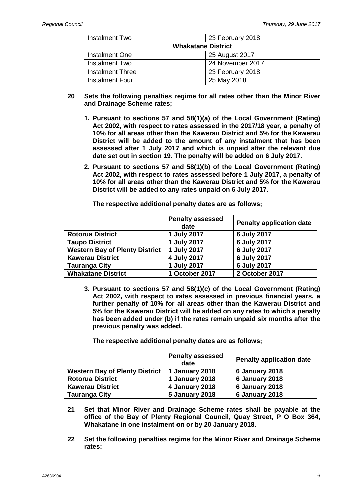| Instalment Two            | 23 February 2018 |  |
|---------------------------|------------------|--|
| <b>Whakatane District</b> |                  |  |
| Instalment One            | 25 August 2017   |  |
| <b>Instalment Two</b>     | 24 November 2017 |  |
| <b>Instalment Three</b>   | 23 February 2018 |  |
| Instalment Four           | 25 May 2018      |  |

- **20 Sets the following penalties regime for all rates other than the Minor River and Drainage Scheme rates;**
	- **1. Pursuant to sections 57 and 58(1)(a) of the Local Government (Rating) Act 2002, with respect to rates assessed in the 2017/18 year, a penalty of 10% for all areas other than the Kawerau District and 5% for the Kawerau District will be added to the amount of any instalment that has been assessed after 1 July 2017 and which is unpaid after the relevant due date set out in section 19. The penalty will be added on 6 July 2017.**
	- **2. Pursuant to sections 57 and 58(1)(b) of the Local Government (Rating) Act 2002, with respect to rates assessed before 1 July 2017, a penalty of 10% for all areas other than the Kawerau District and 5% for the Kawerau District will be added to any rates unpaid on 6 July 2017.**

|                                       | <b>Penalty assessed</b><br>date | <b>Penalty application date</b> |
|---------------------------------------|---------------------------------|---------------------------------|
| <b>Rotorua District</b>               | 1 July 2017                     | 6 July 2017                     |
| <b>Taupo District</b>                 | 1 July 2017                     | 6 July 2017                     |
| <b>Western Bay of Plenty District</b> | 1 July 2017                     | 6 July 2017                     |
| <b>Kawerau District</b>               | 4 July 2017                     | 6 July 2017                     |
| Tauranga City                         | 1 July 2017                     | 6 July 2017                     |
| <b>Whakatane District</b>             | 1 October 2017                  | 2 October 2017                  |

**The respective additional penalty dates are as follows;**

**3. Pursuant to sections 57 and 58(1)(c) of the Local Government (Rating) Act 2002, with respect to rates assessed in previous financial years, a further penalty of 10% for all areas other than the Kawerau District and 5% for the Kawerau District will be added on any rates to which a penalty has been added under (b) if the rates remain unpaid six months after the previous penalty was added.**

**The respective additional penalty dates are as follows;**

|                                       | <b>Penalty assessed</b><br>date | <b>Penalty application date</b> |
|---------------------------------------|---------------------------------|---------------------------------|
| <b>Western Bay of Plenty District</b> | 1 January 2018                  | 6 January 2018                  |
| <b>Rotorua District</b>               | 1 January 2018                  | 6 January 2018                  |
| <b>Kawerau District</b>               | 4 January 2018                  | 6 January 2018                  |
| <b>Tauranga City</b>                  | <b>5 January 2018</b>           | 6 January 2018                  |

- **21 Set that Minor River and Drainage Scheme rates shall be payable at the office of the Bay of Plenty Regional Council, Quay Street, P O Box 364, Whakatane in one instalment on or by 20 January 2018.**
- **22 Set the following penalties regime for the Minor River and Drainage Scheme rates:**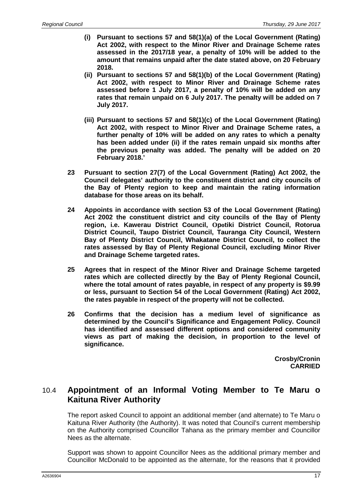- **(i) Pursuant to sections 57 and 58(1)(a) of the Local Government (Rating) Act 2002, with respect to the Minor River and Drainage Scheme rates assessed in the 2017/18 year, a penalty of 10% will be added to the amount that remains unpaid after the date stated above, on 20 February 2018.**
- **(ii) Pursuant to sections 57 and 58(1)(b) of the Local Government (Rating) Act 2002, with respect to Minor River and Drainage Scheme rates assessed before 1 July 2017, a penalty of 10% will be added on any rates that remain unpaid on 6 July 2017. The penalty will be added on 7 July 2017.**
- **(iii) Pursuant to sections 57 and 58(1)(c) of the Local Government (Rating) Act 2002, with respect to Minor River and Drainage Scheme rates, a further penalty of 10% will be added on any rates to which a penalty has been added under (ii) if the rates remain unpaid six months after the previous penalty was added. The penalty will be added on 20 February 2018.'**
- **23 Pursuant to section 27(7) of the Local Government (Rating) Act 2002, the Council delegates' authority to the constituent district and city councils of the Bay of Plenty region to keep and maintain the rating information database for those areas on its behalf.**
- **24 Appoints in accordance with section 53 of the Local Government (Rating) Act 2002 the constituent district and city councils of the Bay of Plenty region, i.e. Kawerau District Council, Opotiki District Council, Rotorua District Council, Taupo District Council, Tauranga City Council, Western Bay of Plenty District Council, Whakatane District Council, to collect the rates assessed by Bay of Plenty Regional Council, excluding Minor River and Drainage Scheme targeted rates.**
- **25 Agrees that in respect of the Minor River and Drainage Scheme targeted rates which are collected directly by the Bay of Plenty Regional Council, where the total amount of rates payable, in respect of any property is \$9.99 or less, pursuant to Section 54 of the Local Government (Rating) Act 2002, the rates payable in respect of the property will not be collected.**
- **26 Confirms that the decision has a medium level of significance as determined by the Council's Significance and Engagement Policy. Council has identified and assessed different options and considered community views as part of making the decision, in proportion to the level of significance.**

**Crosby/Cronin CARRIED**

## 10.4 **Appointment of an Informal Voting Member to Te Maru o Kaituna River Authority**

The report asked Council to appoint an additional member (and alternate) to Te Maru o Kaituna River Authority (the Authority). It was noted that Council's current membership on the Authority comprised Councillor Tahana as the primary member and Councillor Nees as the alternate.

Support was shown to appoint Councillor Nees as the additional primary member and Councillor McDonald to be appointed as the alternate, for the reasons that it provided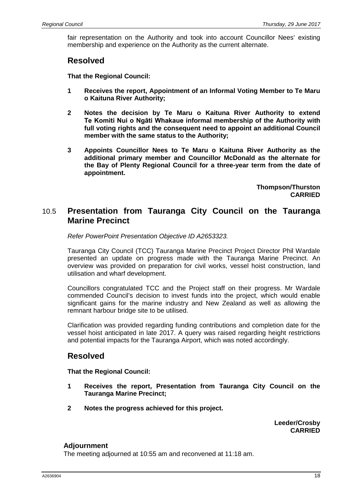fair representation on the Authority and took into account Councillor Nees' existing membership and experience on the Authority as the current alternate.

### **Resolved**

**That the Regional Council:**

- **1 Receives the report, Appointment of an Informal Voting Member to Te Maru o Kaituna River Authority;**
- **2 Notes the decision by Te Maru o Kaituna River Authority to extend Te Komiti Nui o Ngāti Whakaue informal membership of the Authority with full voting rights and the consequent need to appoint an additional Council member with the same status to the Authority;**
- **3 Appoints Councillor Nees to Te Maru o Kaituna River Authority as the additional primary member and Councillor McDonald as the alternate for the Bay of Plenty Regional Council for a three-year term from the date of appointment.**

**Thompson/Thurston CARRIED**

### 10.5 **Presentation from Tauranga City Council on the Tauranga Marine Precinct**

*Refer PowerPoint Presentation Objective ID A2653323.*

Tauranga City Council (TCC) Tauranga Marine Precinct Project Director Phil Wardale presented an update on progress made with the Tauranga Marine Precinct. An overview was provided on preparation for civil works, vessel hoist construction, land utilisation and wharf development.

Councillors congratulated TCC and the Project staff on their progress. Mr Wardale commended Council's decision to invest funds into the project, which would enable significant gains for the marine industry and New Zealand as well as allowing the remnant harbour bridge site to be utilised.

Clarification was provided regarding funding contributions and completion date for the vessel hoist anticipated in late 2017. A query was raised regarding height restrictions and potential impacts for the Tauranga Airport, which was noted accordingly.

## **Resolved**

**That the Regional Council:**

- **1 Receives the report, Presentation from Tauranga City Council on the Tauranga Marine Precinct;**
- **2 Notes the progress achieved for this project.**

**Leeder/Crosby CARRIED**

### **Adjournment**

The meeting adjourned at 10:55 am and reconvened at 11:18 am.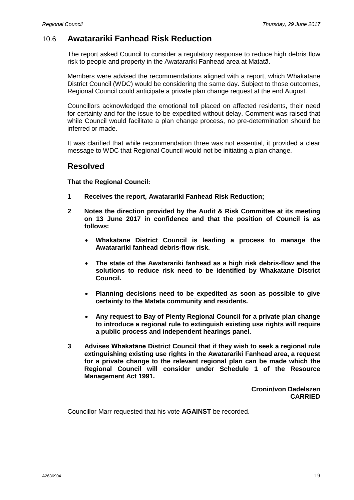## 10.6 **Awatarariki Fanhead Risk Reduction**

The report asked Council to consider a regulatory response to reduce high debris flow risk to people and property in the Awatarariki Fanhead area at Matatā.

Members were advised the recommendations aligned with a report, which Whakatane District Council (WDC) would be considering the same day. Subject to those outcomes, Regional Council could anticipate a private plan change request at the end August.

Councillors acknowledged the emotional toll placed on affected residents, their need for certainty and for the issue to be expedited without delay. Comment was raised that while Council would facilitate a plan change process, no pre-determination should be inferred or made.

It was clarified that while recommendation three was not essential, it provided a clear message to WDC that Regional Council would not be initiating a plan change.

### **Resolved**

**That the Regional Council:**

- **1 Receives the report, Awatarariki Fanhead Risk Reduction;**
- **2 Notes the direction provided by the Audit & Risk Committee at its meeting on 13 June 2017 in confidence and that the position of Council is as follows:**
	- **Whakatane District Council is leading a process to manage the Awatarariki fanhead debris-flow risk.**
	- **The state of the Awatarariki fanhead as a high risk debris-flow and the solutions to reduce risk need to be identified by Whakatane District Council.**
	- **Planning decisions need to be expedited as soon as possible to give certainty to the Matata community and residents.**
	- **Any request to Bay of Plenty Regional Council for a private plan change to introduce a regional rule to extinguish existing use rights will require a public process and independent hearings panel.**
- **3 Advises Whakatāne District Council that if they wish to seek a regional rule extinguishing existing use rights in the Awatarariki Fanhead area, a request for a private change to the relevant regional plan can be made which the Regional Council will consider under Schedule 1 of the Resource Management Act 1991.**

**Cronin/von Dadelszen CARRIED**

Councillor Marr requested that his vote **AGAINST** be recorded.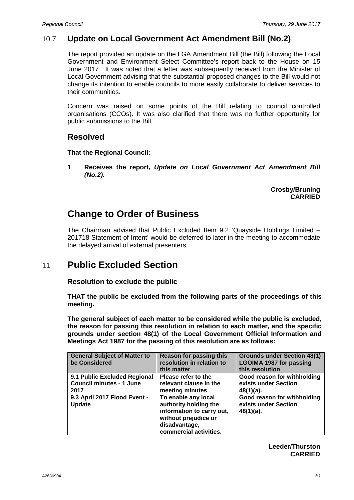## 10.7 **Update on Local Government Act Amendment Bill (No.2)**

The report provided an update on the LGA Amendment Bill (the Bill) following the Local Government and Environment Select Committee's report back to the House on 15 June 2017. It was noted that a letter was subsequently received from the Minister of Local Government advising that the substantial proposed changes to the Bill would not change its intention to enable councils to more easily collaborate to deliver services to their communities.

Concern was raised on some points of the Bill relating to council controlled organisations (CCOs). It was also clarified that there was no further opportunity for public submissions to the Bill.

## **Resolved**

**That the Regional Council:**

**1 Receives the report,** *Update on Local Government Act Amendment Bill (No.2).*

> **Crosby/Bruning CARRIED**

# **Change to Order of Business**

The Chairman advised that Public Excluded Item 9.2 'Quayside Holdings Limited – 201718 Statement of Intent' would be deferred to later in the meeting to accommodate the delayed arrival of external presenters.

# 11 **Public Excluded Section**

**Resolution to exclude the public**

**THAT the public be excluded from the following parts of the proceedings of this meeting.**

**The general subject of each matter to be considered while the public is excluded, the reason for passing this resolution in relation to each matter, and the specific grounds under section 48(1) of the Local Government Official Information and Meetings Act 1987 for the passing of this resolution are as follows:**

| <b>General Subject of Matter to</b><br>be Considered                    | <b>Reason for passing this</b><br>resolution in relation to<br>this matter                                                                   | <b>Grounds under Section 48(1)</b><br><b>LGOIMA 1987 for passing</b><br>this resolution |
|-------------------------------------------------------------------------|----------------------------------------------------------------------------------------------------------------------------------------------|-----------------------------------------------------------------------------------------|
| 9.1 Public Excluded Regional<br><b>Council minutes - 1 June</b><br>2017 | Please refer to the<br>relevant clause in the<br>meeting minutes                                                                             | Good reason for withholding<br>exists under Section<br>48(1)(a).                        |
| 9.3 April 2017 Flood Event -<br><b>Update</b>                           | To enable any local<br>authority holding the<br>information to carry out,<br>without prejudice or<br>disadvantage,<br>commercial activities. | Good reason for withholding<br>exists under Section<br>48(1)(a).                        |

**Leeder/Thurston CARRIED**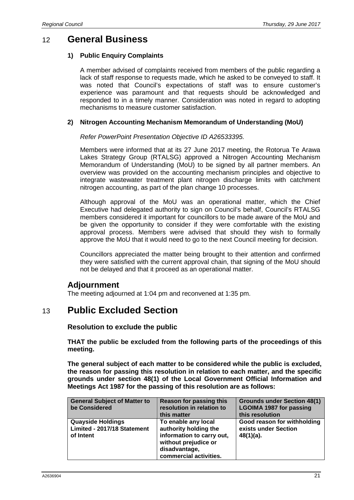## 12 **General Business**

### **1) Public Enquiry Complaints**

A member advised of complaints received from members of the public regarding a lack of staff response to requests made, which he asked to be conveyed to staff. It was noted that Council's expectations of staff was to ensure customer's experience was paramount and that requests should be acknowledged and responded to in a timely manner. Consideration was noted in regard to adopting mechanisms to measure customer satisfaction.

### **2) Nitrogen Accounting Mechanism Memorandum of Understanding (MoU)**

*Refer PowerPoint Presentation Objective ID A26533395.*

Members were informed that at its 27 June 2017 meeting, the Rotorua Te Arawa Lakes Strategy Group (RTALSG) approved a Nitrogen Accounting Mechanism Memorandum of Understanding (MoU) to be signed by all partner members. An overview was provided on the accounting mechanism principles and objective to integrate wastewater treatment plant nitrogen discharge limits with catchment nitrogen accounting, as part of the plan change 10 processes.

Although approval of the MoU was an operational matter, which the Chief Executive had delegated authority to sign on Council's behalf, Council's RTALSG members considered it important for councillors to be made aware of the MoU and be given the opportunity to consider if they were comfortable with the existing approval process. Members were advised that should they wish to formally approve the MoU that it would need to go to the next Council meeting for decision.

Councillors appreciated the matter being brought to their attention and confirmed they were satisfied with the current approval chain, that signing of the MoU should not be delayed and that it proceed as an operational matter.

### **Adjournment**

The meeting adjourned at 1:04 pm and reconvened at 1:35 pm.

## 13 **Public Excluded Section**

### **Resolution to exclude the public**

**THAT the public be excluded from the following parts of the proceedings of this meeting.**

**The general subject of each matter to be considered while the public is excluded, the reason for passing this resolution in relation to each matter, and the specific grounds under section 48(1) of the Local Government Official Information and Meetings Act 1987 for the passing of this resolution are as follows:**

| <b>General Subject of Matter to</b><br>be Considered                 | <b>Reason for passing this</b><br>resolution in relation to<br>this matter                                                                   | <b>Grounds under Section 48(1)</b><br><b>LGOIMA 1987 for passing</b><br>this resolution |
|----------------------------------------------------------------------|----------------------------------------------------------------------------------------------------------------------------------------------|-----------------------------------------------------------------------------------------|
| <b>Quayside Holdings</b><br>Limited - 2017/18 Statement<br>of Intent | To enable any local<br>authority holding the<br>information to carry out,<br>without prejudice or<br>disadvantage,<br>commercial activities. | Good reason for withholding<br>exists under Section<br>48(1)(a).                        |